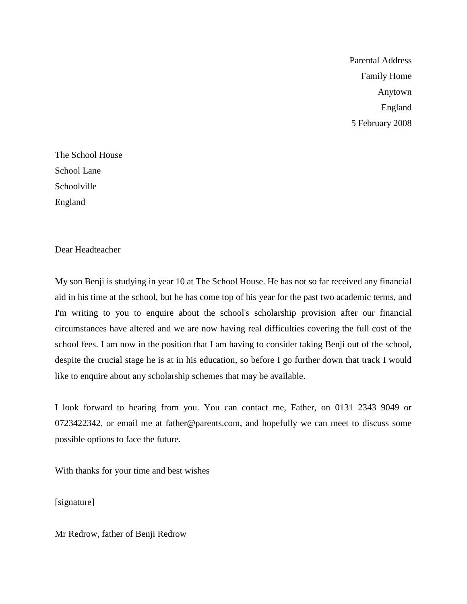Parental Address Family Home Anytown England 5 February 2008

The School House School Lane Schoolville England

Dear Headteacher

My son Benji is studying in year 10 at The School House. He has not so far received any financial aid in his time at the school, but he has come top of his year for the past two academic terms, and I'm writing to you to enquire about the school's scholarship provision after our financial circumstances have altered and we are now having real difficulties covering the full cost of the school fees. I am now in the position that I am having to consider taking Benji out of the school, despite the crucial stage he is at in his education, so before I go further down that track I would like to enquire about any scholarship schemes that may be available.

I look forward to hearing from you. You can contact me, Father, on 0131 2343 9049 or 0723422342, or email me at father@parents.com, and hopefully we can meet to discuss some possible options to face the future.

With thanks for your time and best wishes

[signature]

Mr Redrow, father of Benji Redrow